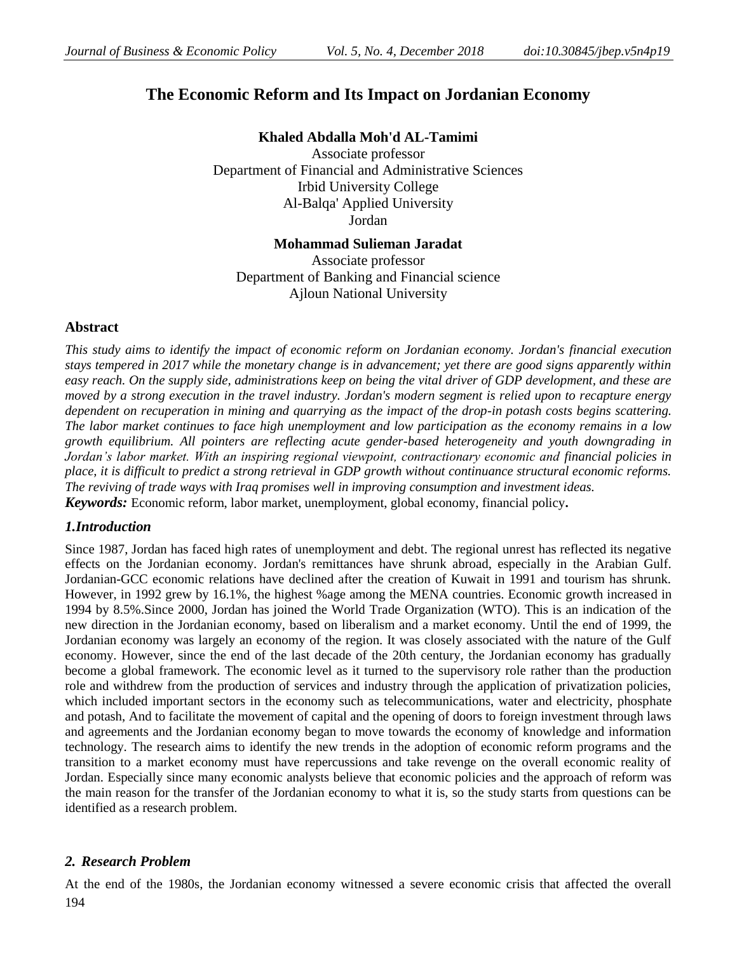# **The Economic Reform and Its Impact on Jordanian Economy**

**Khaled Abdalla Moh'd AL-Tamimi** Associate professor Department of Financial and Administrative Sciences Irbid University College Al-Balqa' Applied University Jordan

# **Mohammad Sulieman Jaradat**

Associate professor Department of Banking and Financial science Ajloun National University

# **Abstract**

*This study aims to identify the impact of economic reform on Jordanian economy. Jordan's financial execution stays tempered in 2017 while the monetary change is in advancement; yet there are good signs apparently within easy reach. On the supply side, administrations keep on being the vital driver of GDP development, and these are moved by a strong execution in the travel industry. Jordan's modern segment is relied upon to recapture energy dependent on recuperation in mining and quarrying as the impact of the drop-in potash costs begins scattering. The labor market continues to face high unemployment and low participation as the economy remains in a low growth equilibrium. All pointers are reflecting acute gender-based heterogeneity and youth downgrading in Jordan's labor market. With an inspiring regional viewpoint, contractionary economic and financial policies in place, it is difficult to predict a strong retrieval in GDP growth without continuance structural economic reforms. The reviving of trade ways with Iraq promises well in improving consumption and investment ideas. Keywords:* Economic reform, labor market, unemployment, global economy, financial policy**.**

# *1.Introduction*

Since 1987, Jordan has faced high rates of unemployment and debt. The regional unrest has reflected its negative effects on the Jordanian economy. Jordan's remittances have shrunk abroad, especially in the Arabian Gulf. Jordanian-GCC economic relations have declined after the creation of Kuwait in 1991 and tourism has shrunk. However, in 1992 grew by 16.1%, the highest %age among the MENA countries. Economic growth increased in 1994 by 8.5%.Since 2000, Jordan has joined the World Trade Organization (WTO). This is an indication of the new direction in the Jordanian economy, based on liberalism and a market economy. Until the end of 1999, the Jordanian economy was largely an economy of the region. It was closely associated with the nature of the Gulf economy. However, since the end of the last decade of the 20th century, the Jordanian economy has gradually become a global framework. The economic level as it turned to the supervisory role rather than the production role and withdrew from the production of services and industry through the application of privatization policies, which included important sectors in the economy such as telecommunications, water and electricity, phosphate and potash, And to facilitate the movement of capital and the opening of doors to foreign investment through laws and agreements and the Jordanian economy began to move towards the economy of knowledge and information technology. The research aims to identify the new trends in the adoption of economic reform programs and the transition to a market economy must have repercussions and take revenge on the overall economic reality of Jordan. Especially since many economic analysts believe that economic policies and the approach of reform was the main reason for the transfer of the Jordanian economy to what it is, so the study starts from questions can be identified as a research problem.

# *2. Research Problem*

194 At the end of the 1980s, the Jordanian economy witnessed a severe economic crisis that affected the overall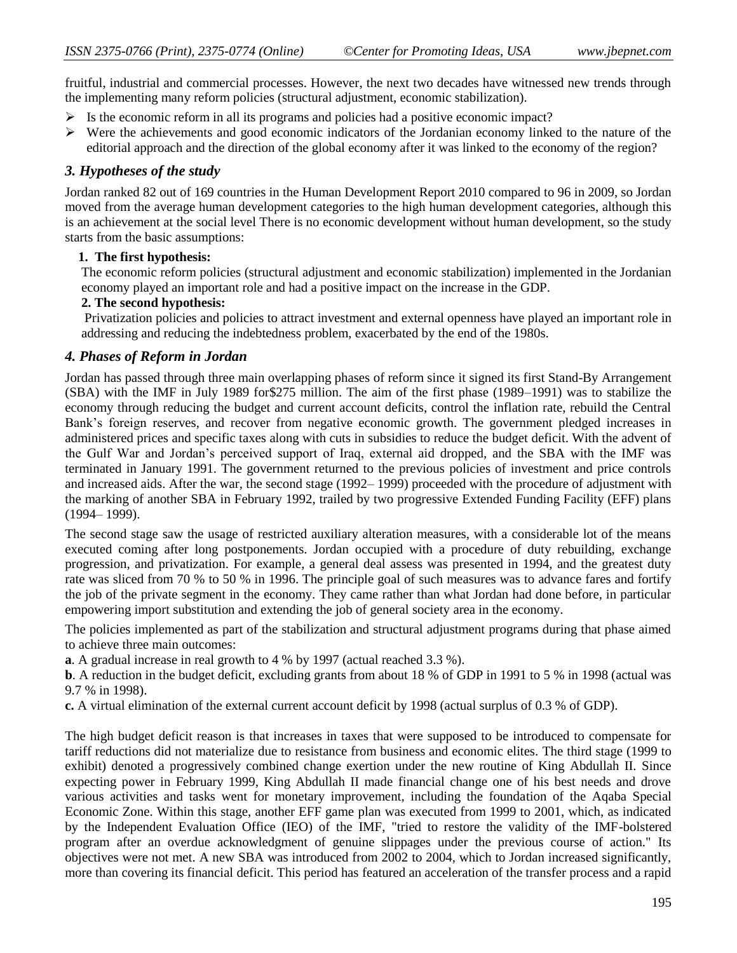fruitful, industrial and commercial processes. However, the next two decades have witnessed new trends through the implementing many reform policies (structural adjustment, economic stabilization).

- $\triangleright$  Is the economic reform in all its programs and policies had a positive economic impact?
- $\triangleright$  Were the achievements and good economic indicators of the Jordanian economy linked to the nature of the editorial approach and the direction of the global economy after it was linked to the economy of the region?

## *3. Hypotheses of the study*

Jordan ranked 82 out of 169 countries in the Human Development Report 2010 compared to 96 in 2009, so Jordan moved from the average human development categories to the high human development categories, although this is an achievement at the social level There is no economic development without human development, so the study starts from the basic assumptions:

#### **1. The first hypothesis:**

The economic reform policies (structural adjustment and economic stabilization) implemented in the Jordanian economy played an important role and had a positive impact on the increase in the GDP.

## **2. The second hypothesis:**

Privatization policies and policies to attract investment and external openness have played an important role in addressing and reducing the indebtedness problem, exacerbated by the end of the 1980s.

## *4. Phases of Reform in Jordan*

Jordan has passed through three main overlapping phases of reform since it signed its first Stand-By Arrangement (SBA) with the IMF in July 1989 for\$275 million. The aim of the first phase (1989–1991) was to stabilize the economy through reducing the budget and current account deficits, control the inflation rate, rebuild the Central Bank's foreign reserves, and recover from negative economic growth. The government pledged increases in administered prices and specific taxes along with cuts in subsidies to reduce the budget deficit. With the advent of the Gulf War and Jordan's perceived support of Iraq, external aid dropped, and the SBA with the IMF was terminated in January 1991. The government returned to the previous policies of investment and price controls and increased aids. After the war, the second stage (1992– 1999) proceeded with the procedure of adjustment with the marking of another SBA in February 1992, trailed by two progressive Extended Funding Facility (EFF) plans (1994– 1999).

The second stage saw the usage of restricted auxiliary alteration measures, with a considerable lot of the means executed coming after long postponements. Jordan occupied with a procedure of duty rebuilding, exchange progression, and privatization. For example, a general deal assess was presented in 1994, and the greatest duty rate was sliced from 70 % to 50 % in 1996. The principle goal of such measures was to advance fares and fortify the job of the private segment in the economy. They came rather than what Jordan had done before, in particular empowering import substitution and extending the job of general society area in the economy.

The policies implemented as part of the stabilization and structural adjustment programs during that phase aimed to achieve three main outcomes:

**a**. A gradual increase in real growth to 4 % by 1997 (actual reached 3.3 %).

**b**. A reduction in the budget deficit, excluding grants from about 18 % of GDP in 1991 to 5 % in 1998 (actual was 9.7 % in 1998).

**c.** A virtual elimination of the external current account deficit by 1998 (actual surplus of 0.3 % of GDP).

The high budget deficit reason is that increases in taxes that were supposed to be introduced to compensate for tariff reductions did not materialize due to resistance from business and economic elites. The third stage (1999 to exhibit) denoted a progressively combined change exertion under the new routine of King Abdullah II. Since expecting power in February 1999, King Abdullah II made financial change one of his best needs and drove various activities and tasks went for monetary improvement, including the foundation of the Aqaba Special Economic Zone. Within this stage, another EFF game plan was executed from 1999 to 2001, which, as indicated by the Independent Evaluation Office (IEO) of the IMF, "tried to restore the validity of the IMF-bolstered program after an overdue acknowledgment of genuine slippages under the previous course of action." Its objectives were not met. A new SBA was introduced from 2002 to 2004, which to Jordan increased significantly, more than covering its financial deficit. This period has featured an acceleration of the transfer process and a rapid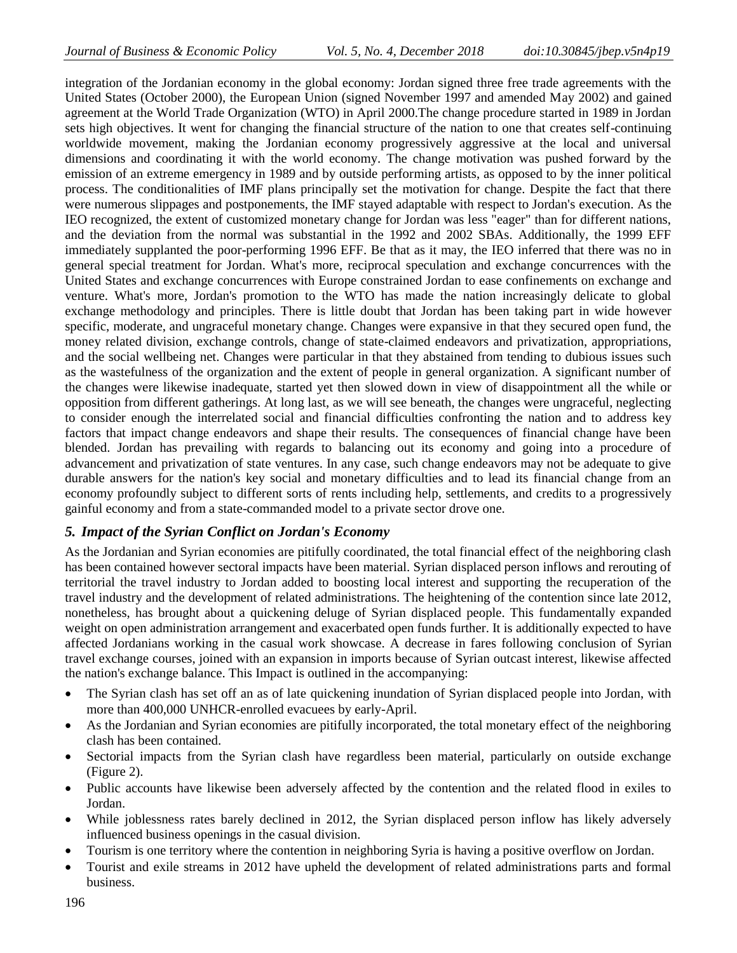integration of the Jordanian economy in the global economy: Jordan signed three free trade agreements with the United States (October 2000), the European Union (signed November 1997 and amended May 2002) and gained agreement at the World Trade Organization (WTO) in April 2000.The change procedure started in 1989 in Jordan sets high objectives. It went for changing the financial structure of the nation to one that creates self-continuing worldwide movement, making the Jordanian economy progressively aggressive at the local and universal dimensions and coordinating it with the world economy. The change motivation was pushed forward by the emission of an extreme emergency in 1989 and by outside performing artists, as opposed to by the inner political process. The conditionalities of IMF plans principally set the motivation for change. Despite the fact that there were numerous slippages and postponements, the IMF stayed adaptable with respect to Jordan's execution. As the IEO recognized, the extent of customized monetary change for Jordan was less "eager" than for different nations, and the deviation from the normal was substantial in the 1992 and 2002 SBAs. Additionally, the 1999 EFF immediately supplanted the poor-performing 1996 EFF. Be that as it may, the IEO inferred that there was no in general special treatment for Jordan. What's more, reciprocal speculation and exchange concurrences with the United States and exchange concurrences with Europe constrained Jordan to ease confinements on exchange and venture. What's more, Jordan's promotion to the WTO has made the nation increasingly delicate to global exchange methodology and principles. There is little doubt that Jordan has been taking part in wide however specific, moderate, and ungraceful monetary change. Changes were expansive in that they secured open fund, the money related division, exchange controls, change of state-claimed endeavors and privatization, appropriations, and the social wellbeing net. Changes were particular in that they abstained from tending to dubious issues such as the wastefulness of the organization and the extent of people in general organization. A significant number of the changes were likewise inadequate, started yet then slowed down in view of disappointment all the while or opposition from different gatherings. At long last, as we will see beneath, the changes were ungraceful, neglecting to consider enough the interrelated social and financial difficulties confronting the nation and to address key factors that impact change endeavors and shape their results. The consequences of financial change have been blended. Jordan has prevailing with regards to balancing out its economy and going into a procedure of advancement and privatization of state ventures. In any case, such change endeavors may not be adequate to give durable answers for the nation's key social and monetary difficulties and to lead its financial change from an economy profoundly subject to different sorts of rents including help, settlements, and credits to a progressively gainful economy and from a state-commanded model to a private sector drove one.

# *5. Impact of the Syrian Conflict on Jordan's Economy*

As the Jordanian and Syrian economies are pitifully coordinated, the total financial effect of the neighboring clash has been contained however sectoral impacts have been material. Syrian displaced person inflows and rerouting of territorial the travel industry to Jordan added to boosting local interest and supporting the recuperation of the travel industry and the development of related administrations. The heightening of the contention since late 2012, nonetheless, has brought about a quickening deluge of Syrian displaced people. This fundamentally expanded weight on open administration arrangement and exacerbated open funds further. It is additionally expected to have affected Jordanians working in the casual work showcase. A decrease in fares following conclusion of Syrian travel exchange courses, joined with an expansion in imports because of Syrian outcast interest, likewise affected the nation's exchange balance. This Impact is outlined in the accompanying:

- The Syrian clash has set off an as of late quickening inundation of Syrian displaced people into Jordan, with more than 400,000 UNHCR-enrolled evacuees by early-April.
- As the Jordanian and Syrian economies are pitifully incorporated, the total monetary effect of the neighboring clash has been contained.
- Sectorial impacts from the Syrian clash have regardless been material, particularly on outside exchange (Figure 2).
- Public accounts have likewise been adversely affected by the contention and the related flood in exiles to Jordan.
- While joblessness rates barely declined in 2012, the Syrian displaced person inflow has likely adversely influenced business openings in the casual division.
- Tourism is one territory where the contention in neighboring Syria is having a positive overflow on Jordan.
- Tourist and exile streams in 2012 have upheld the development of related administrations parts and formal business.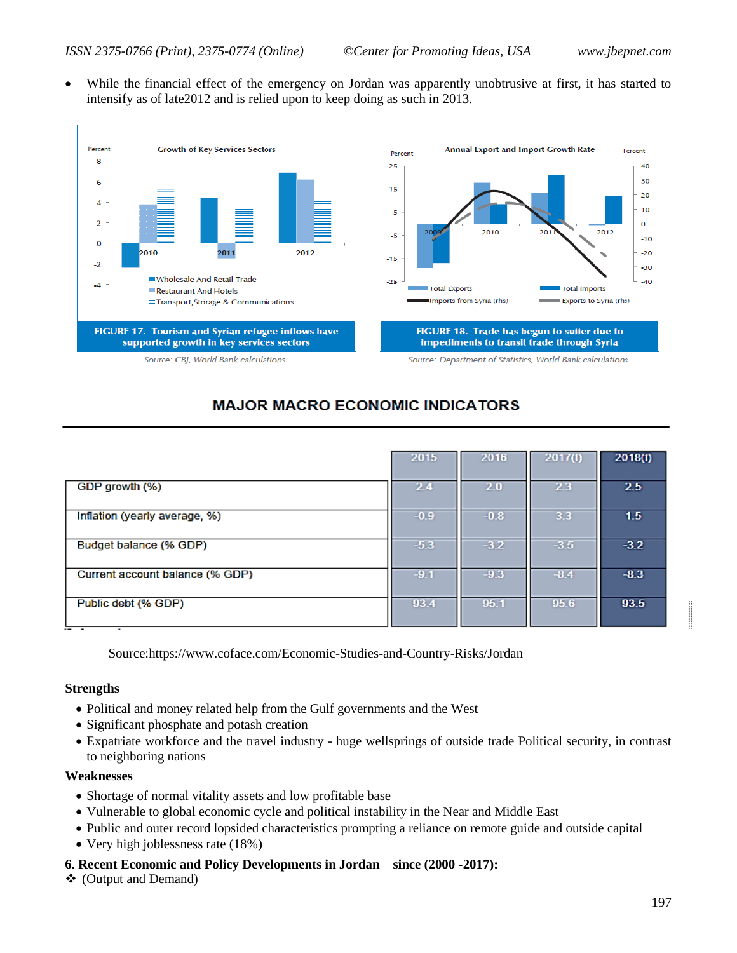While the financial effect of the emergency on Jordan was apparently unobtrusive at first, it has started to intensify as of late2012 and is relied upon to keep doing as such in 2013.



# **MAJOR MACRO ECONOMIC INDICATORS**

|                                 | 2015   | 2016   | 2017(f) | 2018(f) |
|---------------------------------|--------|--------|---------|---------|
|                                 |        |        |         |         |
| GDP growth (%)                  | 2.4    | 2.0    | 2.3     | 2.5     |
|                                 |        |        |         |         |
| Inflation (yearly average, %)   | $-0.9$ | $-0.8$ | 3.3     | 1.5     |
|                                 |        |        |         |         |
| Budget balance (% GDP)          | $-5.3$ | $-3.2$ | $-3.5$  | $-3.2$  |
|                                 |        |        |         |         |
| Current account balance (% GDP) | $-9.1$ | $-9.3$ | $-8.4$  | $-8.3$  |
|                                 |        |        |         |         |
| Public debt (% GDP)             | 93.4   | 95.1   | 95.6    | 93.5    |
|                                 |        |        |         |         |

Source:https://www.coface.com/Economic-Studies-and-Country-Risks/Jordan

#### **Strengths**

- Political and money related help from the Gulf governments and the West
- Significant phosphate and potash creation
- Expatriate workforce and the travel industry huge wellsprings of outside trade Political security, in contrast to neighboring nations

#### **Weaknesses**

- Shortage of normal vitality assets and low profitable base
- Vulnerable to global economic cycle and political instability in the Near and Middle East
- Public and outer record lopsided characteristics prompting a reliance on remote guide and outside capital
- Very high joblessness rate (18%)
- **6. Recent Economic and Policy Developments in Jordan since (2000 -2017):**
- (Output and Demand)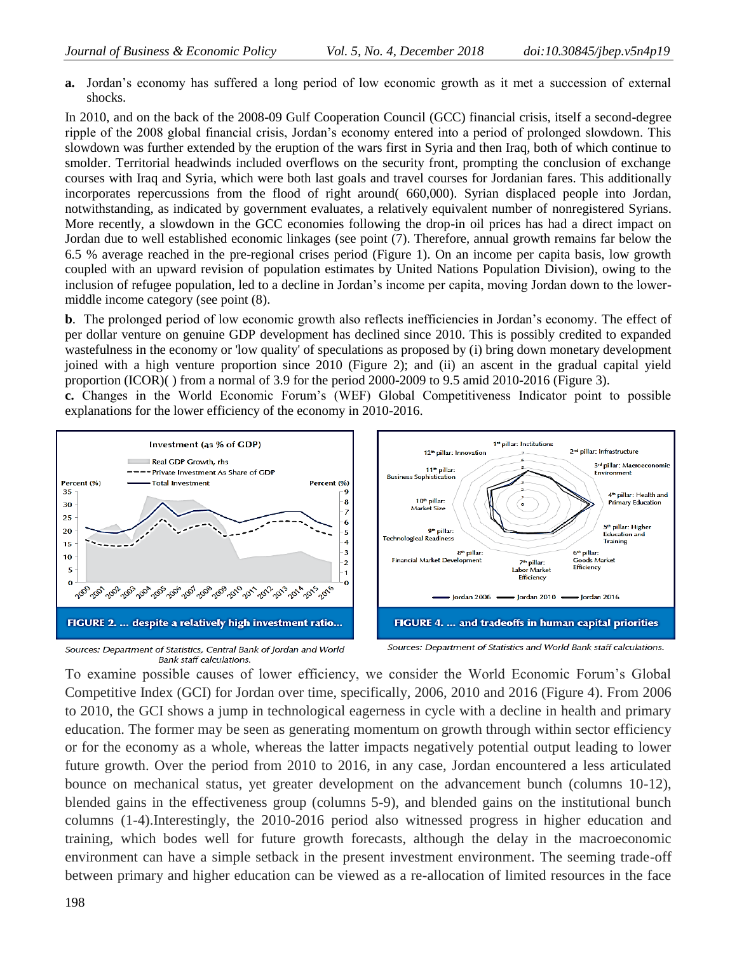**a.** Jordan's economy has suffered a long period of low economic growth as it met a succession of external shocks.

In 2010, and on the back of the 2008-09 Gulf Cooperation Council (GCC) financial crisis, itself a second-degree ripple of the 2008 global financial crisis, Jordan's economy entered into a period of prolonged slowdown. This slowdown was further extended by the eruption of the wars first in Syria and then Iraq, both of which continue to smolder. Territorial headwinds included overflows on the security front, prompting the conclusion of exchange courses with Iraq and Syria, which were both last goals and travel courses for Jordanian fares. This additionally incorporates repercussions from the flood of right around( 660,000). Syrian displaced people into Jordan, notwithstanding, as indicated by government evaluates, a relatively equivalent number of nonregistered Syrians. More recently, a slowdown in the GCC economies following the drop-in oil prices has had a direct impact on Jordan due to well established economic linkages (see point (7). Therefore, annual growth remains far below the 6.5 % average reached in the pre-regional crises period (Figure 1). On an income per capita basis, low growth coupled with an upward revision of population estimates by United Nations Population Division), owing to the inclusion of refugee population, led to a decline in Jordan's income per capita, moving Jordan down to the lowermiddle income category (see point (8).

**b**. The prolonged period of low economic growth also reflects inefficiencies in Jordan's economy. The effect of per dollar venture on genuine GDP development has declined since 2010. This is possibly credited to expanded wastefulness in the economy or 'low quality' of speculations as proposed by (i) bring down monetary development joined with a high venture proportion since 2010 (Figure 2); and (ii) an ascent in the gradual capital yield proportion (ICOR)( ) from a normal of 3.9 for the period 2000-2009 to 9.5 amid 2010-2016 (Figure 3).

**c.** Changes in the World Economic Forum's (WEF) Global Competitiveness Indicator point to possible explanations for the lower efficiency of the economy in 2010-2016.



Sources: Department of Statistics, Central Bank of Jordan and World **Bank staff calculations.** 

Sources: Department of Statistics and World Bank staff calculations.

To examine possible causes of lower efficiency, we consider the World Economic Forum's Global Competitive Index (GCI) for Jordan over time, specifically, 2006, 2010 and 2016 (Figure 4). From 2006 to 2010, the GCI shows a jump in technological eagerness in cycle with a decline in health and primary education. The former may be seen as generating momentum on growth through within sector efficiency or for the economy as a whole, whereas the latter impacts negatively potential output leading to lower future growth. Over the period from 2010 to 2016, in any case, Jordan encountered a less articulated bounce on mechanical status, yet greater development on the advancement bunch (columns 10-12), blended gains in the effectiveness group (columns 5-9), and blended gains on the institutional bunch columns (1-4).Interestingly, the 2010-2016 period also witnessed progress in higher education and training, which bodes well for future growth forecasts, although the delay in the macroeconomic environment can have a simple setback in the present investment environment. The seeming trade-off between primary and higher education can be viewed as a re-allocation of limited resources in the face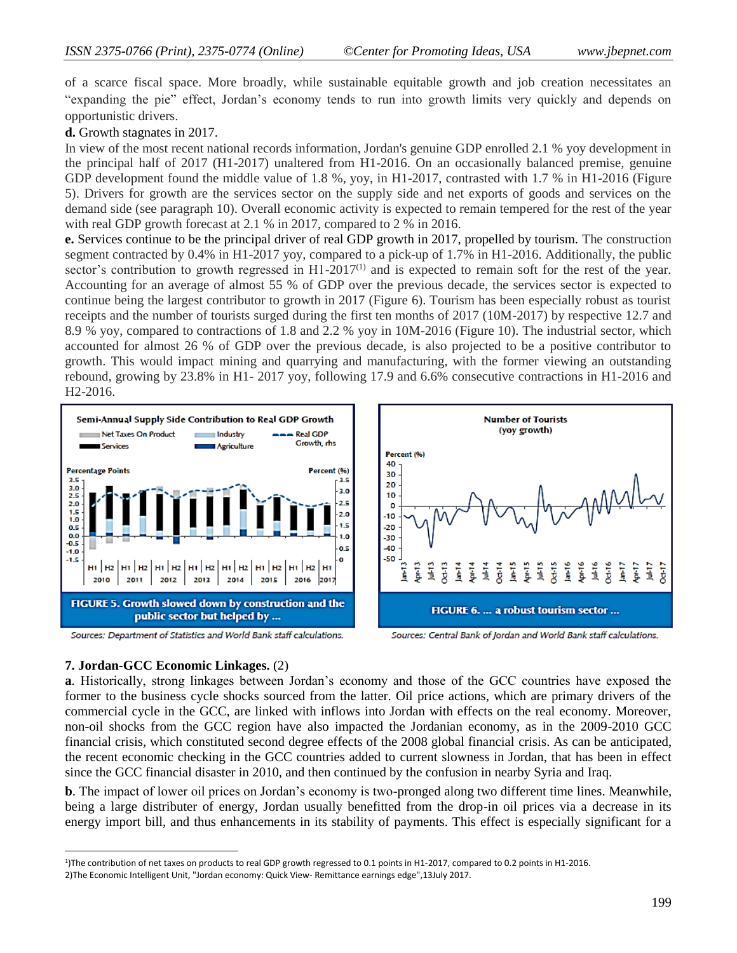of a scarce fiscal space. More broadly, while sustainable equitable growth and job creation necessitates an "expanding the pie" effect, Jordan's economy tends to run into growth limits very quickly and depends on opportunistic drivers.

**d.** Growth stagnates in 2017.

In view of the most recent national records information, Jordan's genuine GDP enrolled 2.1 % yoy development in the principal half of 2017 (H1-2017) unaltered from H1-2016. On an occasionally balanced premise, genuine GDP development found the middle value of 1.8 %, yoy, in H1-2017, contrasted with 1.7 % in H1-2016 (Figure 5). Drivers for growth are the services sector on the supply side and net exports of goods and services on the demand side (see paragraph 10). Overall economic activity is expected to remain tempered for the rest of the year with real GDP growth forecast at 2.1 % in 2017, compared to 2 % in 2016.

**e.** Services continue to be the principal driver of real GDP growth in 2017, propelled by tourism. The construction segment contracted by 0.4% in H1-2017 yoy, compared to a pick-up of 1.7% in H1-2016. Additionally, the public sector's contribution to growth regressed in  $H1-2017<sup>(1)</sup>$  and is expected to remain soft for the rest of the year. Accounting for an average of almost 55 % of GDP over the previous decade, the services sector is expected to continue being the largest contributor to growth in 2017 (Figure 6). Tourism has been especially robust as tourist receipts and the number of tourists surged during the first ten months of 2017 (10M-2017) by respective 12.7 and 8.9 % yoy, compared to contractions of 1.8 and 2.2 % yoy in 10M-2016 (Figure 10). The industrial sector, which accounted for almost 26 % of GDP over the previous decade, is also projected to be a positive contributor to growth. This would impact mining and quarrying and manufacturing, with the former viewing an outstanding rebound, growing by 23.8% in H1- 2017 yoy, following 17.9 and 6.6% consecutive contractions in H1-2016 and H2-2016.



Sources: Department of Statistics and World Bank staff calculations.



Sources: Central Bank of Jordan and World Bank staff calculations.

# **7. Jordan-GCC Economic Linkages.** (2)

**a**. Historically, strong linkages between Jordan's economy and those of the GCC countries have exposed the former to the business cycle shocks sourced from the latter. Oil price actions, which are primary drivers of the commercial cycle in the GCC, are linked with inflows into Jordan with effects on the real economy. Moreover, non-oil shocks from the GCC region have also impacted the Jordanian economy, as in the 2009-2010 GCC financial crisis, which constituted second degree effects of the 2008 global financial crisis. As can be anticipated, the recent economic checking in the GCC countries added to current slowness in Jordan, that has been in effect since the GCC financial disaster in 2010, and then continued by the confusion in nearby Syria and Iraq.

**b**. The impact of lower oil prices on Jordan's economy is two-pronged along two different time lines. Meanwhile, being a large distributer of energy, Jordan usually benefitted from the drop-in oil prices via a decrease in its energy import bill, and thus enhancements in its stability of payments. This effect is especially significant for a

 $\overline{a}$ 1 )The contribution of net taxes on products to real GDP growth regressed to 0.1 points in H1-2017, compared to 0.2 points in H1-2016.

<sup>2)</sup>The Economic Intelligent Unit, "Jordan economy: Quick View- Remittance earnings edge",13July 2017.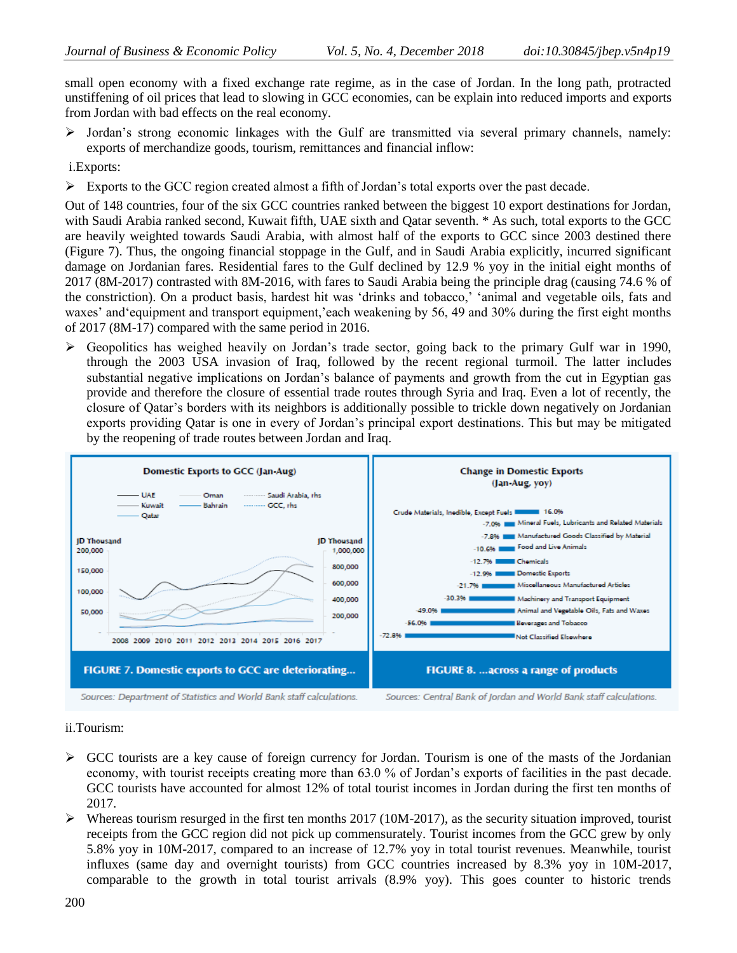small open economy with a fixed exchange rate regime, as in the case of Jordan. In the long path, protracted unstiffening of oil prices that lead to slowing in GCC economies, can be explain into reduced imports and exports from Jordan with bad effects on the real economy.

 Jordan's strong economic linkages with the Gulf are transmitted via several primary channels, namely: exports of merchandize goods, tourism, remittances and financial inflow:

i.Exports:

 $\triangleright$  Exports to the GCC region created almost a fifth of Jordan's total exports over the past decade.

Out of 148 countries, four of the six GCC countries ranked between the biggest 10 export destinations for Jordan, with Saudi Arabia ranked second, Kuwait fifth, UAE sixth and Qatar seventh. \* As such, total exports to the GCC are heavily weighted towards Saudi Arabia, with almost half of the exports to GCC since 2003 destined there (Figure 7). Thus, the ongoing financial stoppage in the Gulf, and in Saudi Arabia explicitly, incurred significant damage on Jordanian fares. Residential fares to the Gulf declined by 12.9 % yoy in the initial eight months of 2017 (8M-2017) contrasted with 8M-2016, with fares to Saudi Arabia being the principle drag (causing 74.6 % of the constriction). On a product basis, hardest hit was 'drinks and tobacco,' 'animal and vegetable oils, fats and waxes' and'equipment and transport equipment,'each weakening by 56, 49 and 30% during the first eight months of 2017 (8M-17) compared with the same period in 2016.

 $\triangleright$  Geopolitics has weighed heavily on Jordan's trade sector, going back to the primary Gulf war in 1990, through the 2003 USA invasion of Iraq, followed by the recent regional turmoil. The latter includes substantial negative implications on Jordan's balance of payments and growth from the cut in Egyptian gas provide and therefore the closure of essential trade routes through Syria and Iraq. Even a lot of recently, the closure of Qatar's borders with its neighbors is additionally possible to trickle down negatively on Jordanian exports providing Qatar is one in every of Jordan's principal export destinations. This but may be mitigated by the reopening of trade routes between Jordan and Iraq.



#### ii.Tourism:

- $\triangleright$  GCC tourists are a key cause of foreign currency for Jordan. Tourism is one of the masts of the Jordanian economy, with tourist receipts creating more than 63.0 % of Jordan's exports of facilities in the past decade. GCC tourists have accounted for almost 12% of total tourist incomes in Jordan during the first ten months of 2017.
- $\triangleright$  Whereas tourism resurged in the first ten months 2017 (10M-2017), as the security situation improved, tourist receipts from the GCC region did not pick up commensurately. Tourist incomes from the GCC grew by only 5.8% yoy in 10M-2017, compared to an increase of 12.7% yoy in total tourist revenues. Meanwhile, tourist influxes (same day and overnight tourists) from GCC countries increased by 8.3% yoy in 10M-2017, comparable to the growth in total tourist arrivals (8.9% yoy). This goes counter to historic trends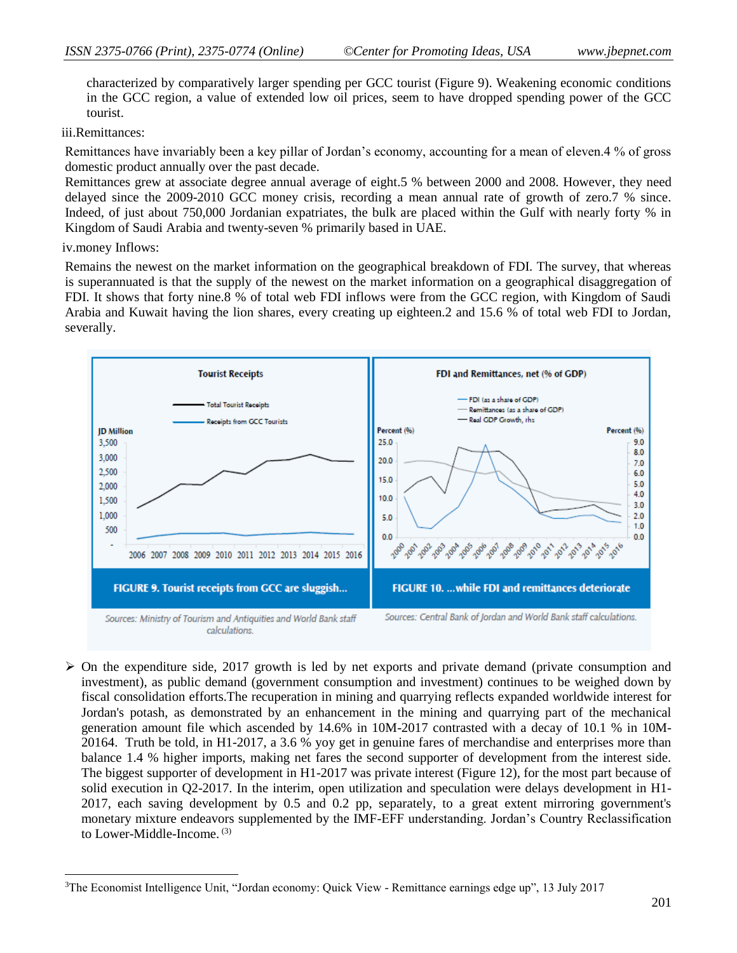characterized by comparatively larger spending per GCC tourist (Figure 9). Weakening economic conditions in the GCC region, a value of extended low oil prices, seem to have dropped spending power of the GCC tourist.

#### iii.Remittances:

Remittances have invariably been a key pillar of Jordan's economy, accounting for a mean of eleven.4 % of gross domestic product annually over the past decade.

Remittances grew at associate degree annual average of eight.5 % between 2000 and 2008. However, they need delayed since the 2009-2010 GCC money crisis, recording a mean annual rate of growth of zero.7 % since. Indeed, of just about 750,000 Jordanian expatriates, the bulk are placed within the Gulf with nearly forty % in Kingdom of Saudi Arabia and twenty-seven % primarily based in UAE.

#### iv.money Inflows:

Remains the newest on the market information on the geographical breakdown of FDI. The survey, that whereas is superannuated is that the supply of the newest on the market information on a geographical disaggregation of FDI. It shows that forty nine.8 % of total web FDI inflows were from the GCC region, with Kingdom of Saudi Arabia and Kuwait having the lion shares, every creating up eighteen.2 and 15.6 % of total web FDI to Jordan, severally.



 $\triangleright$  On the expenditure side, 2017 growth is led by net exports and private demand (private consumption and investment), as public demand (government consumption and investment) continues to be weighed down by fiscal consolidation efforts.The recuperation in mining and quarrying reflects expanded worldwide interest for Jordan's potash, as demonstrated by an enhancement in the mining and quarrying part of the mechanical generation amount file which ascended by 14.6% in 10M-2017 contrasted with a decay of 10.1 % in 10M-20164. Truth be told, in H1-2017, a 3.6 % yoy get in genuine fares of merchandise and enterprises more than balance 1.4 % higher imports, making net fares the second supporter of development from the interest side. The biggest supporter of development in H1-2017 was private interest (Figure 12), for the most part because of solid execution in Q2-2017. In the interim, open utilization and speculation were delays development in H1- 2017, each saving development by 0.5 and 0.2 pp, separately, to a great extent mirroring government's monetary mixture endeavors supplemented by the IMF-EFF understanding. Jordan's Country Reclassification to Lower-Middle-Income. (3)

 $\overline{a}$ <sup>3</sup>The Economist Intelligence Unit, "Jordan economy: Quick View - Remittance earnings edge up", 13 July 2017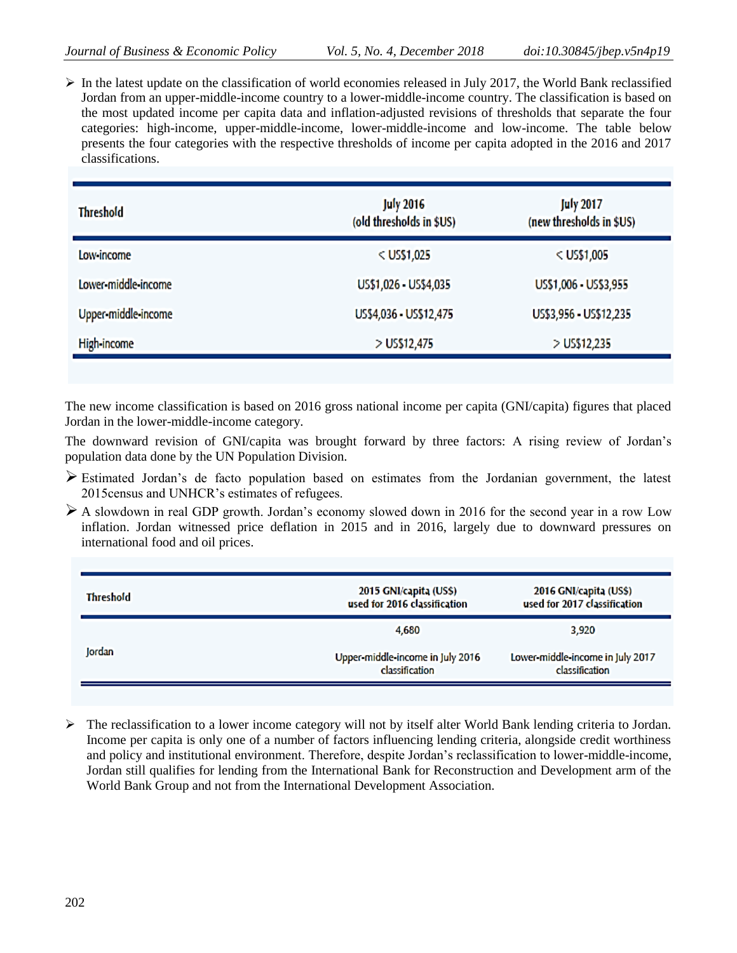$\triangleright$  In the latest update on the classification of world economies released in July 2017, the World Bank reclassified Jordan from an upper-middle-income country to a lower-middle-income country. The classification is based on the most updated income per capita data and inflation-adjusted revisions of thresholds that separate the four categories: high-income, upper-middle-income, lower-middle-income and low-income. The table below presents the four categories with the respective thresholds of income per capita adopted in the 2016 and 2017 classifications.

| <b>Threshold</b>    | <b>July 2016</b><br>(old thresholds in \$US) | <b>July 2017</b><br>(new thresholds in \$US) |
|---------------------|----------------------------------------------|----------------------------------------------|
| Low-income          | $<$ US\$1,025                                | $<$ US\$1,005                                |
| Lower middle-income | US\$1,026 - US\$4,035                        | US\$1,006 - US\$3,955                        |
| Upper-middle-income | US\$4,036 - US\$12,475                       | US\$3,956 - US\$12,235                       |
| High-income         | > US\$12,475                                 | $>$ US\$12,235                               |

The new income classification is based on 2016 gross national income per capita (GNI/capita) figures that placed Jordan in the lower-middle-income category.

The downward revision of GNI/capita was brought forward by three factors: A rising review of Jordan's population data done by the UN Population Division.

- $\triangleright$  Estimated Jordan's de facto population based on estimates from the Jordanian government, the latest 2015census and UNHCR's estimates of refugees.
- $\triangleright$  A slowdown in real GDP growth. Jordan's economy slowed down in 2016 for the second year in a row Low inflation. Jordan witnessed price deflation in 2015 and in 2016, largely due to downward pressures on international food and oil prices.

| <b>Threshold</b> | 2015 GNI/capita (US\$)<br>used for 2016 classification | 2016 GNI/capita (US\$)<br>used for 2017 classification |  |  |  |
|------------------|--------------------------------------------------------|--------------------------------------------------------|--|--|--|
|                  | 4.680                                                  | 3,920                                                  |  |  |  |
| Jordan           | Upper-middle-income in July 2016<br>classification     | Lower-middle-income in July 2017<br>classification     |  |  |  |

 $\triangleright$  The reclassification to a lower income category will not by itself alter World Bank lending criteria to Jordan. Income per capita is only one of a number of factors influencing lending criteria, alongside credit worthiness and policy and institutional environment. Therefore, despite Jordan's reclassification to lower-middle-income, Jordan still qualifies for lending from the International Bank for Reconstruction and Development arm of the World Bank Group and not from the International Development Association.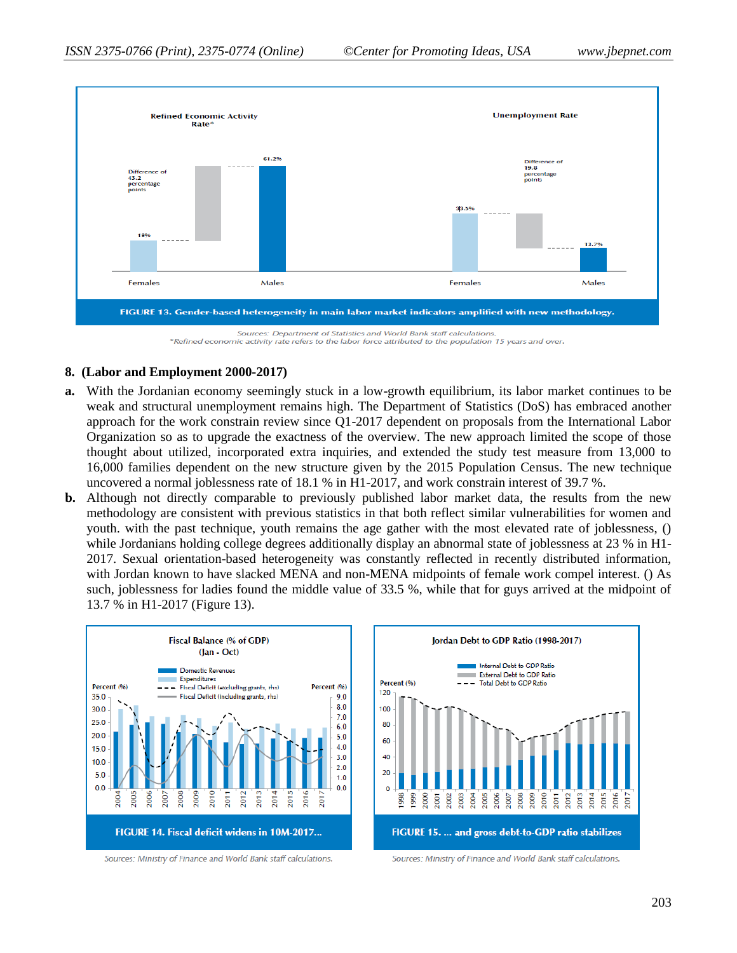

Refined economic activity rate refers to the labor force attributed to the population 15 years and over \*\*

#### **8. (Labor and Employment 2000-2017)**

- **a.** With the Jordanian economy seemingly stuck in a low-growth equilibrium, its labor market continues to be weak and structural unemployment remains high. The Department of Statistics (DoS) has embraced another approach for the work constrain review since Q1-2017 dependent on proposals from the International Labor Organization so as to upgrade the exactness of the overview. The new approach limited the scope of those thought about utilized, incorporated extra inquiries, and extended the study test measure from 13,000 to 16,000 families dependent on the new structure given by the 2015 Population Census. The new technique uncovered a normal joblessness rate of 18.1 % in H1-2017, and work constrain interest of 39.7 %.
- **b.** Although not directly comparable to previously published labor market data, the results from the new methodology are consistent with previous statistics in that both reflect similar vulnerabilities for women and youth. with the past technique, youth remains the age gather with the most elevated rate of joblessness, () while Jordanians holding college degrees additionally display an abnormal state of joblessness at 23 % in H1- 2017. Sexual orientation-based heterogeneity was constantly reflected in recently distributed information, with Jordan known to have slacked MENA and non-MENA midpoints of female work compel interest. () As such, joblessness for ladies found the middle value of 33.5 %, while that for guys arrived at the midpoint of 13.7 % in H1-2017 (Figure 13).



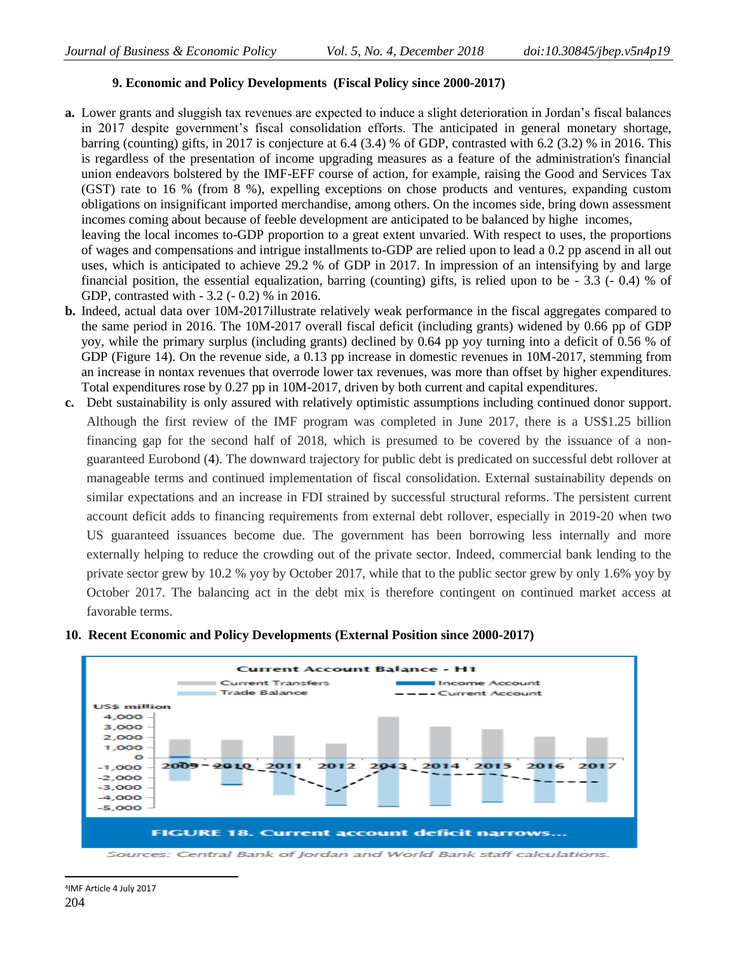# **9. Economic and Policy Developments (Fiscal Policy since 2000-2017)**

- **a.** Lower grants and sluggish tax revenues are expected to induce a slight deterioration in Jordan's fiscal balances in 2017 despite government's fiscal consolidation efforts. The anticipated in general monetary shortage, barring (counting) gifts, in 2017 is conjecture at 6.4 (3.4) % of GDP, contrasted with 6.2 (3.2) % in 2016. This is regardless of the presentation of income upgrading measures as a feature of the administration's financial union endeavors bolstered by the IMF-EFF course of action, for example, raising the Good and Services Tax (GST) rate to 16 % (from 8 %), expelling exceptions on chose products and ventures, expanding custom obligations on insignificant imported merchandise, among others. On the incomes side, bring down assessment incomes coming about because of feeble development are anticipated to be balanced by highe incomes, leaving the local incomes to-GDP proportion to a great extent unvaried. With respect to uses, the proportions of wages and compensations and intrigue installments to-GDP are relied upon to lead a 0.2 pp ascend in all out uses, which is anticipated to achieve 29.2 % of GDP in 2017. In impression of an intensifying by and large financial position, the essential equalization, barring (counting) gifts, is relied upon to be - 3.3 (- 0.4) % of
- GDP, contrasted with 3.2 (- 0.2) % in 2016. **b.** Indeed, actual data over 10M-2017illustrate relatively weak performance in the fiscal aggregates compared to the same period in 2016. The 10M-2017 overall fiscal deficit (including grants) widened by 0.66 pp of GDP yoy, while the primary surplus (including grants) declined by 0.64 pp yoy turning into a deficit of 0.56 % of GDP (Figure 14). On the revenue side, a 0.13 pp increase in domestic revenues in 10M-2017, stemming from an increase in nontax revenues that overrode lower tax revenues, was more than offset by higher expenditures.
- Total expenditures rose by 0.27 pp in 10M-2017, driven by both current and capital expenditures. **c.** Debt sustainability is only assured with relatively optimistic assumptions including continued donor support. Although the first review of the IMF program was completed in June 2017, there is a US\$1.25 billion financing gap for the second half of 2018, which is presumed to be covered by the issuance of a nonguaranteed Eurobond (4). The downward trajectory for public debt is predicated on successful debt rollover at manageable terms and continued implementation of fiscal consolidation. External sustainability depends on similar expectations and an increase in FDI strained by successful structural reforms. The persistent current account deficit adds to financing requirements from external debt rollover, especially in 2019-20 when two US guaranteed issuances become due. The government has been borrowing less internally and more externally helping to reduce the crowding out of the private sector. Indeed, commercial bank lending to the private sector grew by 10.2 % yoy by October 2017, while that to the public sector grew by only 1.6% yoy by October 2017. The balancing act in the debt mix is therefore contingent on continued market access at favorable terms.



**10. Recent Economic and Policy Developments (External Position since 2000-2017)**

Sources: Central Bank of Jordan and World Bank staff calculations.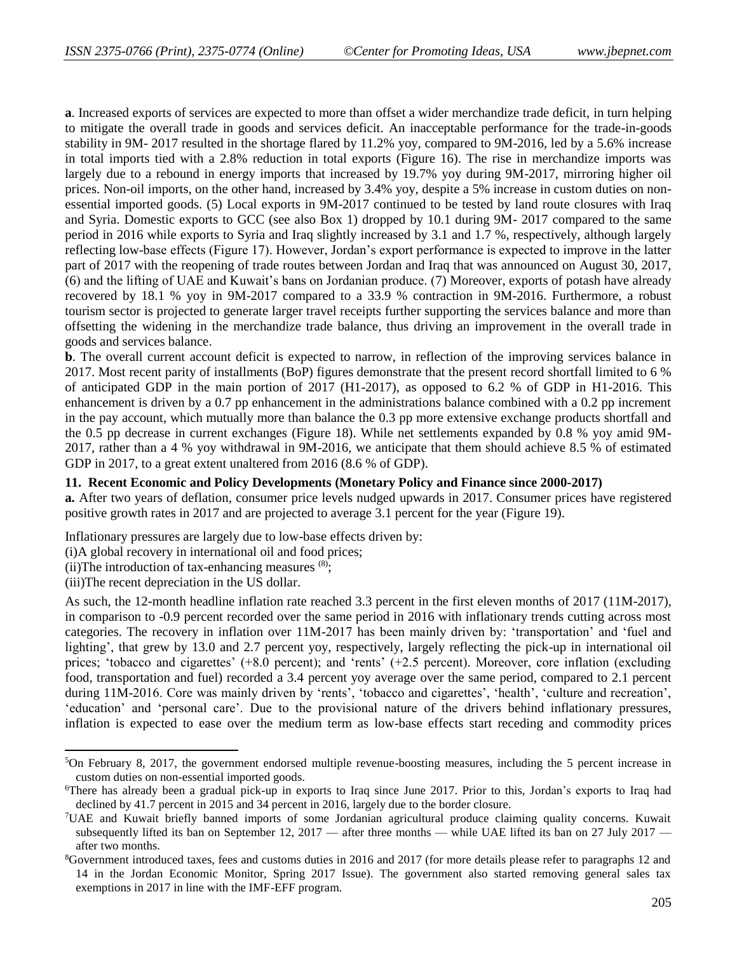**a**. Increased exports of services are expected to more than offset a wider merchandize trade deficit, in turn helping to mitigate the overall trade in goods and services deficit. An inacceptable performance for the trade-in-goods stability in 9M- 2017 resulted in the shortage flared by 11.2% yoy, compared to 9M-2016, led by a 5.6% increase in total imports tied with a 2.8% reduction in total exports (Figure 16). The rise in merchandize imports was largely due to a rebound in energy imports that increased by 19.7% yoy during 9M-2017, mirroring higher oil prices. Non-oil imports, on the other hand, increased by 3.4% yoy, despite a 5% increase in custom duties on nonessential imported goods. (5) Local exports in 9M-2017 continued to be tested by land route closures with Iraq and Syria. Domestic exports to GCC (see also Box 1) dropped by 10.1 during 9M- 2017 compared to the same period in 2016 while exports to Syria and Iraq slightly increased by 3.1 and 1.7 %, respectively, although largely reflecting low-base effects (Figure 17). However, Jordan's export performance is expected to improve in the latter part of 2017 with the reopening of trade routes between Jordan and Iraq that was announced on August 30, 2017, (6) and the lifting of UAE and Kuwait's bans on Jordanian produce. (7) Moreover, exports of potash have already recovered by 18.1 % yoy in 9M-2017 compared to a 33.9 % contraction in 9M-2016. Furthermore, a robust tourism sector is projected to generate larger travel receipts further supporting the services balance and more than offsetting the widening in the merchandize trade balance, thus driving an improvement in the overall trade in goods and services balance.

**b**. The overall current account deficit is expected to narrow, in reflection of the improving services balance in 2017. Most recent parity of installments (BoP) figures demonstrate that the present record shortfall limited to 6 % of anticipated GDP in the main portion of 2017 (H1-2017), as opposed to 6.2 % of GDP in H1-2016. This enhancement is driven by a 0.7 pp enhancement in the administrations balance combined with a 0.2 pp increment in the pay account, which mutually more than balance the 0.3 pp more extensive exchange products shortfall and the 0.5 pp decrease in current exchanges (Figure 18). While net settlements expanded by 0.8 % yoy amid 9M-2017, rather than a 4 % yoy withdrawal in 9M-2016, we anticipate that them should achieve 8.5 % of estimated GDP in 2017, to a great extent unaltered from 2016 (8.6 % of GDP).

#### **11. Recent Economic and Policy Developments (Monetary Policy and Finance since 2000-2017)**

**a.** After two years of deflation, consumer price levels nudged upwards in 2017. Consumer prices have registered positive growth rates in 2017 and are projected to average 3.1 percent for the year (Figure 19).

Inflationary pressures are largely due to low-base effects driven by:

(i)A global recovery in international oil and food prices;

(ii) The introduction of tax-enhancing measures  $(8)$ ;

(iii)The recent depreciation in the US dollar.

 $\overline{a}$ 

As such, the 12-month headline inflation rate reached 3.3 percent in the first eleven months of 2017 (11M-2017), in comparison to -0.9 percent recorded over the same period in 2016 with inflationary trends cutting across most categories. The recovery in inflation over 11M-2017 has been mainly driven by: 'transportation' and 'fuel and lighting', that grew by 13.0 and 2.7 percent yoy, respectively, largely reflecting the pick-up in international oil prices; 'tobacco and cigarettes' (+8.0 percent); and 'rents' (+2.5 percent). Moreover, core inflation (excluding food, transportation and fuel) recorded a 3.4 percent yoy average over the same period, compared to 2.1 percent during 11M-2016. Core was mainly driven by 'rents', 'tobacco and cigarettes', 'health', 'culture and recreation', 'education' and 'personal care'. Due to the provisional nature of the drivers behind inflationary pressures, inflation is expected to ease over the medium term as low-base effects start receding and commodity prices

<sup>5</sup>On February 8, 2017, the government endorsed multiple revenue-boosting measures, including the 5 percent increase in custom duties on non-essential imported goods.

<sup>6</sup>There has already been a gradual pick-up in exports to Iraq since June 2017. Prior to this, Jordan's exports to Iraq had declined by 41.7 percent in 2015 and 34 percent in 2016, largely due to the border closure.

<sup>7</sup>UAE and Kuwait briefly banned imports of some Jordanian agricultural produce claiming quality concerns. Kuwait subsequently lifted its ban on September 12, 2017 — after three months — while UAE lifted its ban on 27 July 2017 after two months.

<sup>8</sup>Government introduced taxes, fees and customs duties in 2016 and 2017 (for more details please refer to paragraphs 12 and 14 in the Jordan Economic Monitor, Spring 2017 Issue). The government also started removing general sales tax exemptions in 2017 in line with the IMF-EFF program.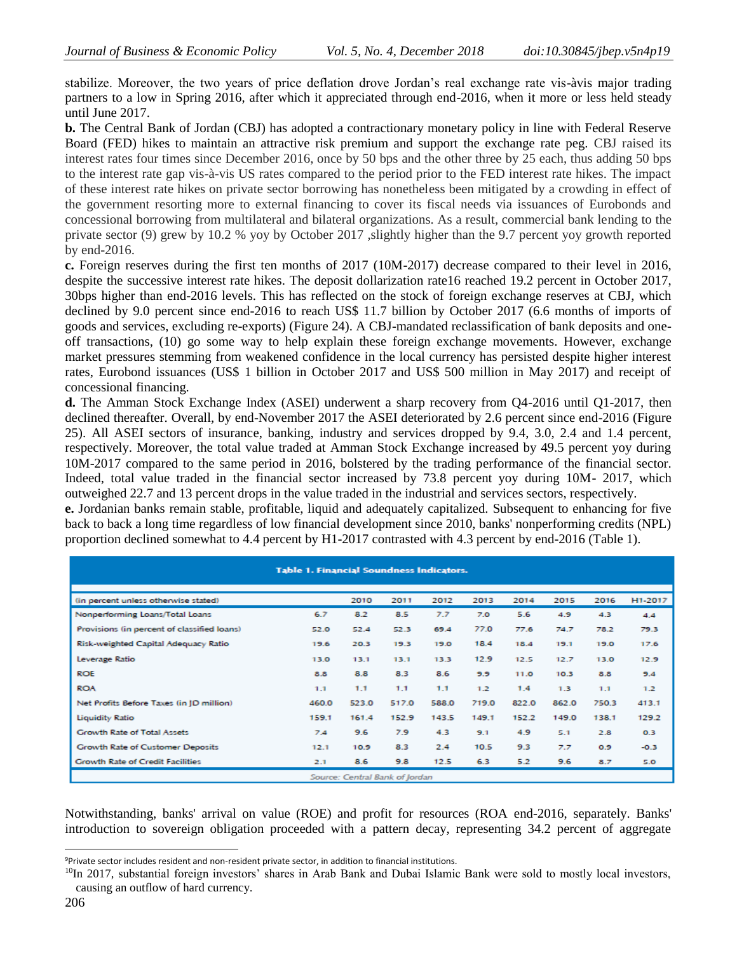stabilize. Moreover, the two years of price deflation drove Jordan's real exchange rate vis-àvis major trading partners to a low in Spring 2016, after which it appreciated through end-2016, when it more or less held steady until June 2017.

**b.** The Central Bank of Jordan (CBJ) has adopted a contractionary monetary policy in line with Federal Reserve Board (FED) hikes to maintain an attractive risk premium and support the exchange rate peg. CBJ raised its interest rates four times since December 2016, once by 50 bps and the other three by 25 each, thus adding 50 bps to the interest rate gap vis-à-vis US rates compared to the period prior to the FED interest rate hikes. The impact of these interest rate hikes on private sector borrowing has nonetheless been mitigated by a crowding in effect of the government resorting more to external financing to cover its fiscal needs via issuances of Eurobonds and concessional borrowing from multilateral and bilateral organizations. As a result, commercial bank lending to the private sector (9) grew by 10.2 % yoy by October 2017 ,slightly higher than the 9.7 percent yoy growth reported by end-2016.

**c.** Foreign reserves during the first ten months of 2017 (10M-2017) decrease compared to their level in 2016, despite the successive interest rate hikes. The deposit dollarization rate16 reached 19.2 percent in October 2017, 30bps higher than end-2016 levels. This has reflected on the stock of foreign exchange reserves at CBJ, which declined by 9.0 percent since end-2016 to reach US\$ 11.7 billion by October 2017 (6.6 months of imports of goods and services, excluding re-exports) (Figure 24). A CBJ-mandated reclassification of bank deposits and oneoff transactions, (10) go some way to help explain these foreign exchange movements. However, exchange market pressures stemming from weakened confidence in the local currency has persisted despite higher interest rates, Eurobond issuances (US\$ 1 billion in October 2017 and US\$ 500 million in May 2017) and receipt of concessional financing.

**d.** The Amman Stock Exchange Index (ASEI) underwent a sharp recovery from Q4-2016 until Q1-2017, then declined thereafter. Overall, by end-November 2017 the ASEI deteriorated by 2.6 percent since end-2016 (Figure 25). All ASEI sectors of insurance, banking, industry and services dropped by 9.4, 3.0, 2.4 and 1.4 percent, respectively. Moreover, the total value traded at Amman Stock Exchange increased by 49.5 percent yoy during 10M-2017 compared to the same period in 2016, bolstered by the trading performance of the financial sector. Indeed, total value traded in the financial sector increased by 73.8 percent yoy during 10M- 2017, which outweighed 22.7 and 13 percent drops in the value traded in the industrial and services sectors, respectively.

**e.** Jordanian banks remain stable, profitable, liquid and adequately capitalized. Subsequent to enhancing for five back to back a long time regardless of low financial development since 2010, banks' nonperforming credits (NPL) proportion declined somewhat to 4.4 percent by H1-2017 contrasted with 4.3 percent by end-2016 (Table 1).

| <b>Table 1. Financial Soundness Indicators.</b> |       |       |       |       |       |       |       |       |         |
|-------------------------------------------------|-------|-------|-------|-------|-------|-------|-------|-------|---------|
| (in percent unless otherwise stated)            |       | 2010  | 2011  | 2012  | 2013  | 2014  | 2015  | 2016  | H1-2017 |
| Nonperforming Loans/Total Loans                 | 6.7   | 8.2   | 8.5   | 7.7   | 7.0   | 5.6   | 4.9   | 4.3   | 4.4     |
| Provisions (in percent of classified loans)     | 52.0  | 52.4  | 52.3  | 69.4  | 77.0  | 77.6  | 74.7  | 78.2  | 79.3    |
| Risk-weighted Capital Adequacy Ratio            | 19.6  | 20.3  | 19.3  | 19.0  | 18.4  | 18.4  | 19.1  | 19.0  | 17.6    |
| Leverage Ratio                                  | 13.0  | 13.1  | 13.1  | 13.3  | 12.9  | 12.5  | 12.7  | 13.0  | 12.9    |
| <b>ROE</b>                                      | 8.8   | 8.8   | 8.3   | 8.6   | 9.9   | 11.0  | 10.3  | 8.8   | 9.4     |
| <b>ROA</b>                                      | 1.1   | 1.1   | 1.1   | 1.1   | 1.2   | 1.4   | 1.3   | 1.1   | 1.2     |
| Net Profits Before Taxes (in JD million)        | 460.0 | 523.0 | 517.0 | 588.0 | 719.0 | 822.0 | 862.0 | 750.3 | 413.1   |
| <b>Liquidity Ratio</b>                          | 159.1 | 161.4 | 152.9 | 143.5 | 149.1 | 152.2 | 149.0 | 138.1 | 129.2   |
| Growth Rate of Total Assets                     | 7.4   | 9.6   | 7.9   | 4.3   | 9.1   | 4.9   | 5.1   | 2.8   | 0.3     |
| <b>Growth Rate of Customer Deposits</b>         | 12.1  | 10.9  | 8.3   | 2.4   | 10.5  | 9.3   | 7.7   | 0.9   | $-0.3$  |
| <b>Growth Rate of Credit Facilities</b>         | 2.1   | 8.6   | 9.8   | 12.5  | 6.3   | 5.2   | 9.6   | 8.7   | 5.0     |
| Source: Central Bank of Jordan                  |       |       |       |       |       |       |       |       |         |

Notwithstanding, banks' arrival on value (ROE) and profit for resources (ROA end-2016, separately. Banks' introduction to sovereign obligation proceeded with a pattern decay, representing 34.2 percent of aggregate

 $\overline{a}$ 

<sup>9</sup>Private sector includes resident and non-resident private sector, in addition to financial institutions.

<sup>&</sup>lt;sup>10</sup>In 2017, substantial foreign investors' shares in Arab Bank and Dubai Islamic Bank were sold to mostly local investors, causing an outflow of hard currency.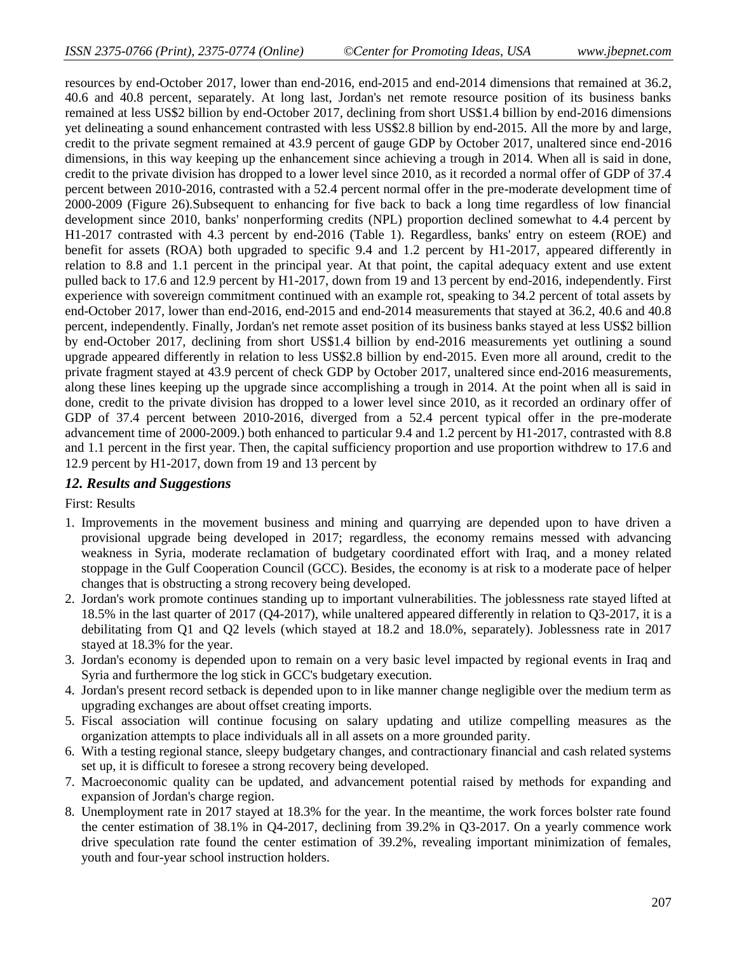resources by end-October 2017, lower than end-2016, end-2015 and end-2014 dimensions that remained at 36.2, 40.6 and 40.8 percent, separately. At long last, Jordan's net remote resource position of its business banks remained at less US\$2 billion by end-October 2017, declining from short US\$1.4 billion by end-2016 dimensions yet delineating a sound enhancement contrasted with less US\$2.8 billion by end-2015. All the more by and large, credit to the private segment remained at 43.9 percent of gauge GDP by October 2017, unaltered since end-2016 dimensions, in this way keeping up the enhancement since achieving a trough in 2014. When all is said in done, credit to the private division has dropped to a lower level since 2010, as it recorded a normal offer of GDP of 37.4 percent between 2010-2016, contrasted with a 52.4 percent normal offer in the pre-moderate development time of 2000-2009 (Figure 26).Subsequent to enhancing for five back to back a long time regardless of low financial development since 2010, banks' nonperforming credits (NPL) proportion declined somewhat to 4.4 percent by H1-2017 contrasted with 4.3 percent by end-2016 (Table 1). Regardless, banks' entry on esteem (ROE) and benefit for assets (ROA) both upgraded to specific 9.4 and 1.2 percent by H1-2017, appeared differently in relation to 8.8 and 1.1 percent in the principal year. At that point, the capital adequacy extent and use extent pulled back to 17.6 and 12.9 percent by H1-2017, down from 19 and 13 percent by end-2016, independently. First experience with sovereign commitment continued with an example rot, speaking to 34.2 percent of total assets by end-October 2017, lower than end-2016, end-2015 and end-2014 measurements that stayed at 36.2, 40.6 and 40.8 percent, independently. Finally, Jordan's net remote asset position of its business banks stayed at less US\$2 billion by end-October 2017, declining from short US\$1.4 billion by end-2016 measurements yet outlining a sound upgrade appeared differently in relation to less US\$2.8 billion by end-2015. Even more all around, credit to the private fragment stayed at 43.9 percent of check GDP by October 2017, unaltered since end-2016 measurements, along these lines keeping up the upgrade since accomplishing a trough in 2014. At the point when all is said in done, credit to the private division has dropped to a lower level since 2010, as it recorded an ordinary offer of GDP of 37.4 percent between 2010-2016, diverged from a 52.4 percent typical offer in the pre-moderate advancement time of 2000-2009.) both enhanced to particular 9.4 and 1.2 percent by H1-2017, contrasted with 8.8 and 1.1 percent in the first year. Then, the capital sufficiency proportion and use proportion withdrew to 17.6 and 12.9 percent by H1-2017, down from 19 and 13 percent by

# *12. Results and Suggestions*

First: Results

- 1. Improvements in the movement business and mining and quarrying are depended upon to have driven a provisional upgrade being developed in 2017; regardless, the economy remains messed with advancing weakness in Syria, moderate reclamation of budgetary coordinated effort with Iraq, and a money related stoppage in the Gulf Cooperation Council (GCC). Besides, the economy is at risk to a moderate pace of helper changes that is obstructing a strong recovery being developed.
- 2. Jordan's work promote continues standing up to important vulnerabilities. The joblessness rate stayed lifted at 18.5% in the last quarter of 2017 (Q4-2017), while unaltered appeared differently in relation to Q3-2017, it is a debilitating from Q1 and Q2 levels (which stayed at 18.2 and 18.0%, separately). Joblessness rate in 2017 stayed at 18.3% for the year.
- 3. Jordan's economy is depended upon to remain on a very basic level impacted by regional events in Iraq and Syria and furthermore the log stick in GCC's budgetary execution.
- 4. Jordan's present record setback is depended upon to in like manner change negligible over the medium term as upgrading exchanges are about offset creating imports.
- 5. Fiscal association will continue focusing on salary updating and utilize compelling measures as the organization attempts to place individuals all in all assets on a more grounded parity.
- 6. With a testing regional stance, sleepy budgetary changes, and contractionary financial and cash related systems set up, it is difficult to foresee a strong recovery being developed.
- 7. Macroeconomic quality can be updated, and advancement potential raised by methods for expanding and expansion of Jordan's charge region.
- 8. Unemployment rate in 2017 stayed at 18.3% for the year. In the meantime, the work forces bolster rate found the center estimation of 38.1% in Q4-2017, declining from 39.2% in Q3-2017. On a yearly commence work drive speculation rate found the center estimation of 39.2%, revealing important minimization of females, youth and four-year school instruction holders.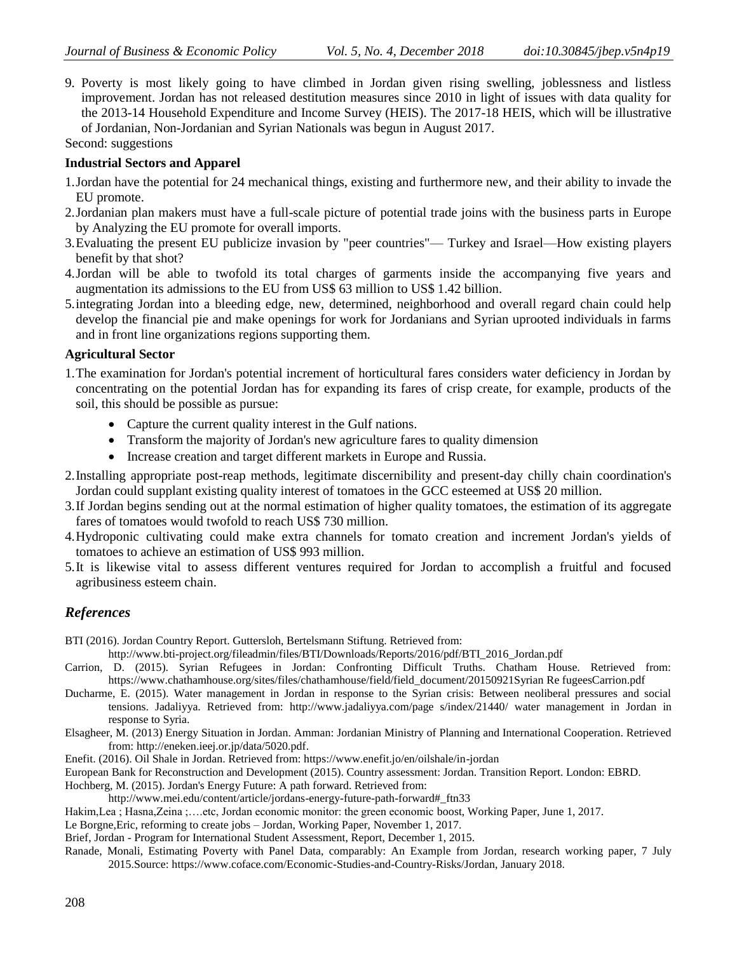9. Poverty is most likely going to have climbed in Jordan given rising swelling, joblessness and listless improvement. Jordan has not released destitution measures since 2010 in light of issues with data quality for the 2013-14 Household Expenditure and Income Survey (HEIS). The 2017-18 HEIS, which will be illustrative of Jordanian, Non-Jordanian and Syrian Nationals was begun in August 2017.

Second: suggestions

## **Industrial Sectors and Apparel**

- 1.Jordan have the potential for 24 mechanical things, existing and furthermore new, and their ability to invade the EU promote.
- 2.Jordanian plan makers must have a full-scale picture of potential trade joins with the business parts in Europe by Analyzing the EU promote for overall imports.
- 3.Evaluating the present EU publicize invasion by "peer countries"— Turkey and Israel—How existing players benefit by that shot?
- 4.Jordan will be able to twofold its total charges of garments inside the accompanying five years and augmentation its admissions to the EU from US\$ 63 million to US\$ 1.42 billion.
- 5.integrating Jordan into a bleeding edge, new, determined, neighborhood and overall regard chain could help develop the financial pie and make openings for work for Jordanians and Syrian uprooted individuals in farms and in front line organizations regions supporting them.

## **Agricultural Sector**

- 1.The examination for Jordan's potential increment of horticultural fares considers water deficiency in Jordan by concentrating on the potential Jordan has for expanding its fares of crisp create, for example, products of the soil, this should be possible as pursue:
	- Capture the current quality interest in the Gulf nations.
	- Transform the majority of Jordan's new agriculture fares to quality dimension
	- Increase creation and target different markets in Europe and Russia.
- 2.Installing appropriate post-reap methods, legitimate discernibility and present-day chilly chain coordination's Jordan could supplant existing quality interest of tomatoes in the GCC esteemed at US\$ 20 million.
- 3.If Jordan begins sending out at the normal estimation of higher quality tomatoes, the estimation of its aggregate fares of tomatoes would twofold to reach US\$ 730 million.
- 4.Hydroponic cultivating could make extra channels for tomato creation and increment Jordan's yields of tomatoes to achieve an estimation of US\$ 993 million.
- 5.It is likewise vital to assess different ventures required for Jordan to accomplish a fruitful and focused agribusiness esteem chain.

# *References*

- BTI (2016). Jordan Country Report. Guttersloh, Bertelsmann Stiftung. Retrieved from:
- http://www.bti-project.org/fileadmin/files/BTI/Downloads/Reports/2016/pdf/BTI\_2016\_Jordan.pdf
- Carrion, D. (2015). Syrian Refugees in Jordan: Confronting Difficult Truths. Chatham House. Retrieved from: https://www.chathamhouse.org/sites/files/chathamhouse/field/field\_document/20150921Syrian Re fugeesCarrion.pdf
- Ducharme, E. (2015). Water management in Jordan in response to the Syrian crisis: Between neoliberal pressures and social tensions. Jadaliyya. Retrieved from: [http://www.jadaliyya.com/page s/index/21440/](http://www.jadaliyya.com/page%20s/index/21440/) water management in Jordan in response to Syria.
- Elsagheer, M. (2013) Energy Situation in Jordan. Amman: Jordanian Ministry of Planning and International Cooperation. Retrieved from: http://eneken.ieej.or.jp/data/5020.pdf.
- Enefit. (2016). Oil Shale in Jordan. Retrieved from: https://www.enefit.jo/en/oilshale/in-jordan
- European Bank for Reconstruction and Development (2015). Country assessment: Jordan. Transition Report. London: EBRD.
- Hochberg, M. (2015). Jordan's Energy Future: A path forward. Retrieved from:
	- http://www.mei.edu/content/article/jordans-energy-future-path-forward#\_ftn33
- Hakim,Lea ; Hasna,Zeina ;….etc, Jordan economic monitor: the green economic boost, Working Paper, June 1, 2017.
- Le Borgne,Eric, reforming to create jobs Jordan, Working Paper, November 1, 2017.
- Brief, Jordan Program for International Student Assessment, Report, December 1, 2015.
- Ranade, Monali, Estimating Poverty with Panel Data, comparably: An Example from Jordan, research working paper, 7 July 2015.Source: [https://www.coface.com/Economic-Studies-and-Country-Risks/Jordan,](https://www.coface.com/Economic-Studies-and-Country-Risks/Jordan) January 2018.